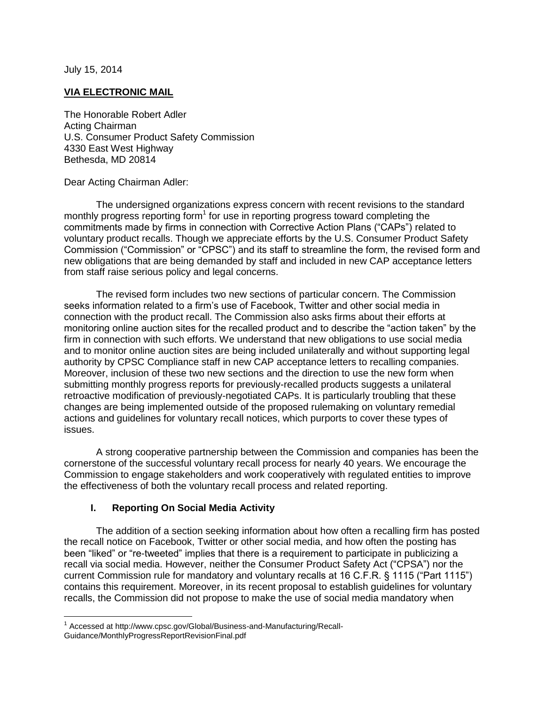July 15, 2014

 $\overline{a}$ 

# **VIA ELECTRONIC MAIL**

The Honorable Robert Adler Acting Chairman U.S. Consumer Product Safety Commission 4330 East West Highway Bethesda, MD 20814

Dear Acting Chairman Adler:

The undersigned organizations express concern with recent revisions to the standard monthly progress reporting form<sup>1</sup> for use in reporting progress toward completing the commitments made by firms in connection with Corrective Action Plans ("CAPs") related to voluntary product recalls. Though we appreciate efforts by the U.S. Consumer Product Safety Commission ("Commission" or "CPSC") and its staff to streamline the form, the revised form and new obligations that are being demanded by staff and included in new CAP acceptance letters from staff raise serious policy and legal concerns.

The revised form includes two new sections of particular concern. The Commission seeks information related to a firm's use of Facebook, Twitter and other social media in connection with the product recall. The Commission also asks firms about their efforts at monitoring online auction sites for the recalled product and to describe the "action taken" by the firm in connection with such efforts. We understand that new obligations to use social media and to monitor online auction sites are being included unilaterally and without supporting legal authority by CPSC Compliance staff in new CAP acceptance letters to recalling companies. Moreover, inclusion of these two new sections and the direction to use the new form when submitting monthly progress reports for previously-recalled products suggests a unilateral retroactive modification of previously-negotiated CAPs. It is particularly troubling that these changes are being implemented outside of the proposed rulemaking on voluntary remedial actions and guidelines for voluntary recall notices, which purports to cover these types of issues.

A strong cooperative partnership between the Commission and companies has been the cornerstone of the successful voluntary recall process for nearly 40 years. We encourage the Commission to engage stakeholders and work cooperatively with regulated entities to improve the effectiveness of both the voluntary recall process and related reporting.

#### **I. Reporting On Social Media Activity**

The addition of a section seeking information about how often a recalling firm has posted the recall notice on Facebook, Twitter or other social media, and how often the posting has been "liked" or "re-tweeted" implies that there is a requirement to participate in publicizing a recall via social media. However, neither the Consumer Product Safety Act ("CPSA") nor the current Commission rule for mandatory and voluntary recalls at 16 C.F.R. § 1115 ("Part 1115") contains this requirement. Moreover, in its recent proposal to establish guidelines for voluntary recalls, the Commission did not propose to make the use of social media mandatory when

<sup>&</sup>lt;sup>1</sup> Accessed at [http://www.cpsc.gov/Global/Business-and-Manufacturing/Recall-](http://www.cpsc.gov/Global/Business-and-Manufacturing/Recall-Guidance/MonthlyProgressReportRevisionFinal.pdf)[Guidance/MonthlyProgressReportRevisionFinal.pdf](http://www.cpsc.gov/Global/Business-and-Manufacturing/Recall-Guidance/MonthlyProgressReportRevisionFinal.pdf)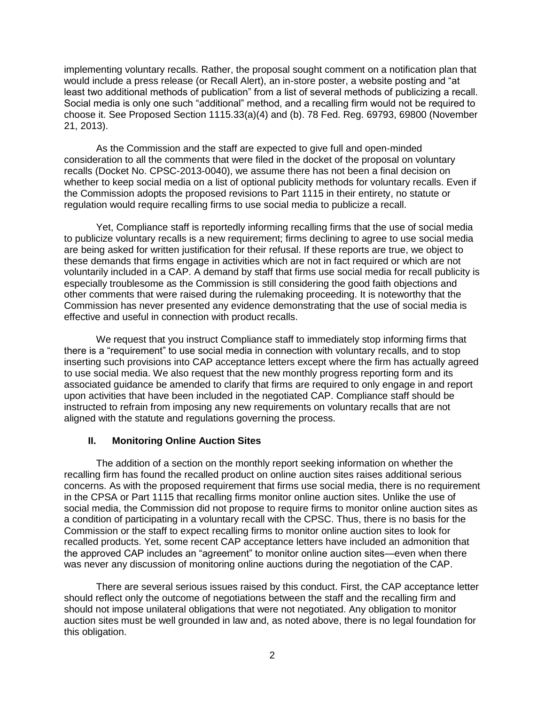implementing voluntary recalls. Rather, the proposal sought comment on a notification plan that would include a press release (or Recall Alert), an in-store poster, a website posting and "at least two additional methods of publication" from a list of several methods of publicizing a recall. Social media is only one such "additional" method, and a recalling firm would not be required to choose it. See Proposed Section 1115.33(a)(4) and (b). 78 Fed. Reg. 69793, 69800 (November 21, 2013).

As the Commission and the staff are expected to give full and open-minded consideration to all the comments that were filed in the docket of the proposal on voluntary recalls (Docket No. CPSC-2013-0040), we assume there has not been a final decision on whether to keep social media on a list of optional publicity methods for voluntary recalls. Even if the Commission adopts the proposed revisions to Part 1115 in their entirety, no statute or regulation would require recalling firms to use social media to publicize a recall.

Yet, Compliance staff is reportedly informing recalling firms that the use of social media to publicize voluntary recalls is a new requirement; firms declining to agree to use social media are being asked for written justification for their refusal. If these reports are true, we object to these demands that firms engage in activities which are not in fact required or which are not voluntarily included in a CAP. A demand by staff that firms use social media for recall publicity is especially troublesome as the Commission is still considering the good faith objections and other comments that were raised during the rulemaking proceeding. It is noteworthy that the Commission has never presented any evidence demonstrating that the use of social media is effective and useful in connection with product recalls.

We request that you instruct Compliance staff to immediately stop informing firms that there is a "requirement" to use social media in connection with voluntary recalls, and to stop inserting such provisions into CAP acceptance letters except where the firm has actually agreed to use social media. We also request that the new monthly progress reporting form and its associated guidance be amended to clarify that firms are required to only engage in and report upon activities that have been included in the negotiated CAP. Compliance staff should be instructed to refrain from imposing any new requirements on voluntary recalls that are not aligned with the statute and regulations governing the process.

#### **II. Monitoring Online Auction Sites**

The addition of a section on the monthly report seeking information on whether the recalling firm has found the recalled product on online auction sites raises additional serious concerns. As with the proposed requirement that firms use social media, there is no requirement in the CPSA or Part 1115 that recalling firms monitor online auction sites. Unlike the use of social media, the Commission did not propose to require firms to monitor online auction sites as a condition of participating in a voluntary recall with the CPSC. Thus, there is no basis for the Commission or the staff to expect recalling firms to monitor online auction sites to look for recalled products. Yet, some recent CAP acceptance letters have included an admonition that the approved CAP includes an "agreement" to monitor online auction sites—even when there was never any discussion of monitoring online auctions during the negotiation of the CAP.

There are several serious issues raised by this conduct. First, the CAP acceptance letter should reflect only the outcome of negotiations between the staff and the recalling firm and should not impose unilateral obligations that were not negotiated. Any obligation to monitor auction sites must be well grounded in law and, as noted above, there is no legal foundation for this obligation.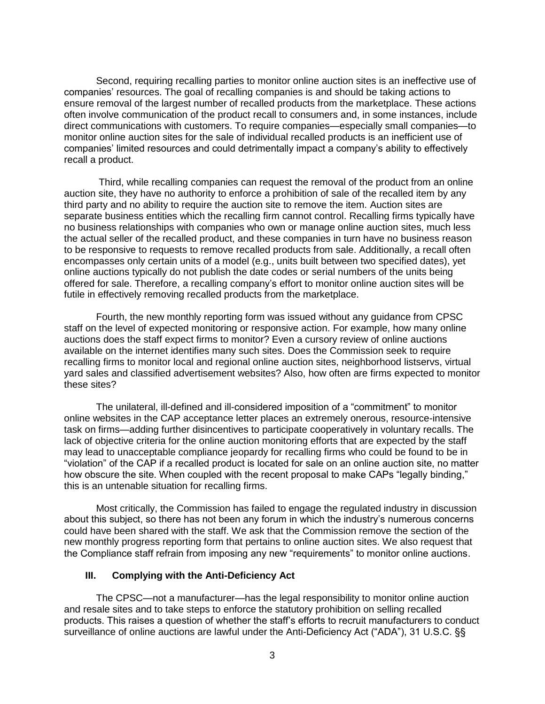Second, requiring recalling parties to monitor online auction sites is an ineffective use of companies' resources. The goal of recalling companies is and should be taking actions to ensure removal of the largest number of recalled products from the marketplace. These actions often involve communication of the product recall to consumers and, in some instances, include direct communications with customers. To require companies—especially small companies—to monitor online auction sites for the sale of individual recalled products is an inefficient use of companies' limited resources and could detrimentally impact a company's ability to effectively recall a product.

Third, while recalling companies can request the removal of the product from an online auction site, they have no authority to enforce a prohibition of sale of the recalled item by any third party and no ability to require the auction site to remove the item. Auction sites are separate business entities which the recalling firm cannot control. Recalling firms typically have no business relationships with companies who own or manage online auction sites, much less the actual seller of the recalled product, and these companies in turn have no business reason to be responsive to requests to remove recalled products from sale. Additionally, a recall often encompasses only certain units of a model (e.g., units built between two specified dates), yet online auctions typically do not publish the date codes or serial numbers of the units being offered for sale. Therefore, a recalling company's effort to monitor online auction sites will be futile in effectively removing recalled products from the marketplace.

Fourth, the new monthly reporting form was issued without any guidance from CPSC staff on the level of expected monitoring or responsive action. For example, how many online auctions does the staff expect firms to monitor? Even a cursory review of online auctions available on the internet identifies many such sites. Does the Commission seek to require recalling firms to monitor local and regional online auction sites, neighborhood listservs, virtual yard sales and classified advertisement websites? Also, how often are firms expected to monitor these sites?

The unilateral, ill-defined and ill-considered imposition of a "commitment" to monitor online websites in the CAP acceptance letter places an extremely onerous, resource-intensive task on firms—adding further disincentives to participate cooperatively in voluntary recalls. The lack of objective criteria for the online auction monitoring efforts that are expected by the staff may lead to unacceptable compliance jeopardy for recalling firms who could be found to be in "violation" of the CAP if a recalled product is located for sale on an online auction site, no matter how obscure the site. When coupled with the recent proposal to make CAPs "legally binding," this is an untenable situation for recalling firms.

Most critically, the Commission has failed to engage the regulated industry in discussion about this subject, so there has not been any forum in which the industry's numerous concerns could have been shared with the staff. We ask that the Commission remove the section of the new monthly progress reporting form that pertains to online auction sites. We also request that the Compliance staff refrain from imposing any new "requirements" to monitor online auctions.

#### **III. Complying with the Anti-Deficiency Act**

The CPSC—not a manufacturer—has the legal responsibility to monitor online auction and resale sites and to take steps to enforce the statutory prohibition on selling recalled products. This raises a question of whether the staff's efforts to recruit manufacturers to conduct surveillance of online auctions are lawful under the Anti-Deficiency Act ("ADA"), 31 U.S.C. §§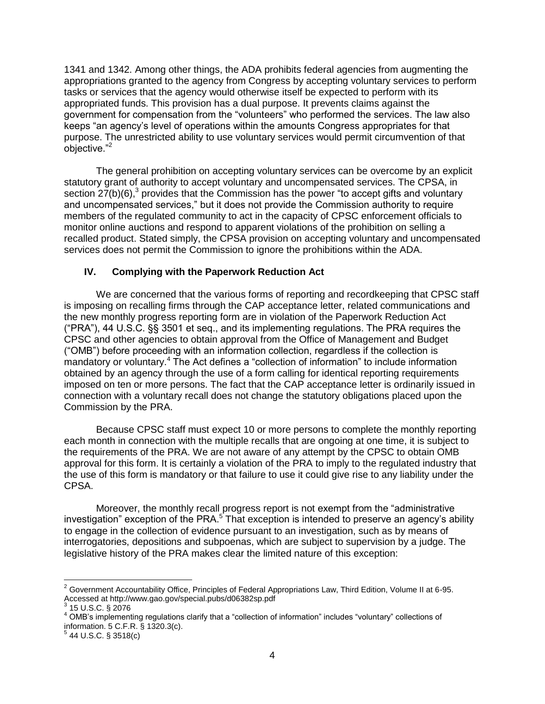1341 and 1342. Among other things, the ADA prohibits federal agencies from augmenting the appropriations granted to the agency from Congress by accepting voluntary services to perform tasks or services that the agency would otherwise itself be expected to perform with its appropriated funds. This provision has a dual purpose. It prevents claims against the government for compensation from the "volunteers" who performed the services. The law also keeps "an agency's level of operations within the amounts Congress appropriates for that purpose. The unrestricted ability to use voluntary services would permit circumvention of that objective."<sup>2</sup>

The general prohibition on accepting voluntary services can be overcome by an explicit statutory grant of authority to accept voluntary and uncompensated services. The CPSA, in section  $27(b)(6)$ ,<sup>3</sup> provides that the Commission has the power "to accept gifts and voluntary and uncompensated services," but it does not provide the Commission authority to require members of the regulated community to act in the capacity of CPSC enforcement officials to monitor online auctions and respond to apparent violations of the prohibition on selling a recalled product. Stated simply, the CPSA provision on accepting voluntary and uncompensated services does not permit the Commission to ignore the prohibitions within the ADA.

## **IV. Complying with the Paperwork Reduction Act**

We are concerned that the various forms of reporting and recordkeeping that CPSC staff is imposing on recalling firms through the CAP acceptance letter, related communications and the new monthly progress reporting form are in violation of the Paperwork Reduction Act ("PRA"), 44 U.S.C. §§ 3501 et seq., and its implementing regulations. The PRA requires the CPSC and other agencies to obtain approval from the Office of Management and Budget ("OMB") before proceeding with an information collection, regardless if the collection is mandatory or voluntary.<sup>4</sup> The Act defines a "collection of information" to include information obtained by an agency through the use of a form calling for identical reporting requirements imposed on ten or more persons. The fact that the CAP acceptance letter is ordinarily issued in connection with a voluntary recall does not change the statutory obligations placed upon the Commission by the PRA.

Because CPSC staff must expect 10 or more persons to complete the monthly reporting each month in connection with the multiple recalls that are ongoing at one time, it is subject to the requirements of the PRA. We are not aware of any attempt by the CPSC to obtain OMB approval for this form. It is certainly a violation of the PRA to imply to the regulated industry that the use of this form is mandatory or that failure to use it could give rise to any liability under the CPSA.

Moreover, the monthly recall progress report is not exempt from the "administrative investigation" exception of the PRA. $<sup>5</sup>$  That exception is intended to preserve an agency's ability</sup> to engage in the collection of evidence pursuant to an investigation, such as by means of interrogatories, depositions and subpoenas, which are subject to supervision by a judge. The legislative history of the PRA makes clear the limited nature of this exception:

 $\overline{a}$ 

 $2$  Government Accountability Office, Principles of Federal Appropriations Law, Third Edition, Volume II at 6-95. Accessed at http://www.gao.gov/special.pubs/d06382sp.pdf 3 15 U.S.C. § 2076

<sup>4</sup> OMB's implementing regulations clarify that a "collection of information" includes "voluntary" collections of information. 5 C.F.R. § 1320.3(c).

<sup>44</sup> U.S.C. § 3518(c)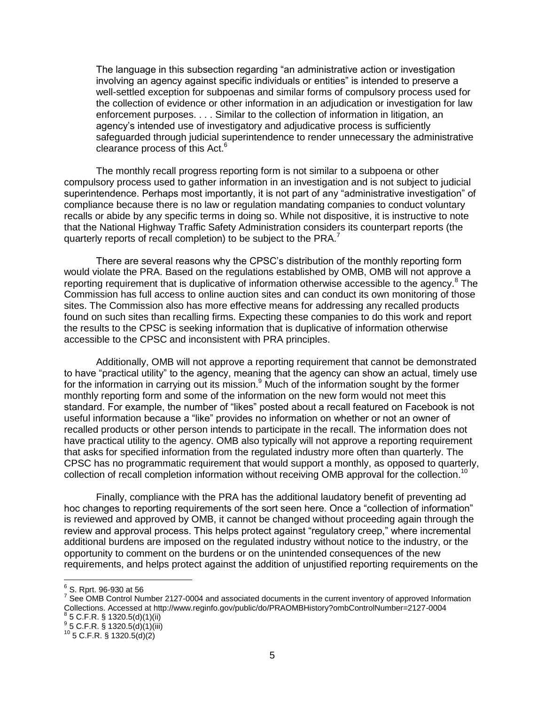The language in this subsection regarding "an administrative action or investigation involving an agency against specific individuals or entities" is intended to preserve a well-settled exception for subpoenas and similar forms of compulsory process used for the collection of evidence or other information in an adjudication or investigation for law enforcement purposes. . . . Similar to the collection of information in litigation, an agency's intended use of investigatory and adjudicative process is sufficiently safeguarded through judicial superintendence to render unnecessary the administrative clearance process of this Act.<sup>6</sup>

The monthly recall progress reporting form is not similar to a subpoena or other compulsory process used to gather information in an investigation and is not subject to judicial superintendence. Perhaps most importantly, it is not part of any "administrative investigation" of compliance because there is no law or regulation mandating companies to conduct voluntary recalls or abide by any specific terms in doing so. While not dispositive, it is instructive to note that the National Highway Traffic Safety Administration considers its counterpart reports (the quarterly reports of recall completion) to be subject to the PRA.<sup>7</sup>

There are several reasons why the CPSC's distribution of the monthly reporting form would violate the PRA. Based on the regulations established by OMB, OMB will not approve a reporting requirement that is duplicative of information otherwise accessible to the agency.<sup>8</sup> The Commission has full access to online auction sites and can conduct its own monitoring of those sites. The Commission also has more effective means for addressing any recalled products found on such sites than recalling firms. Expecting these companies to do this work and report the results to the CPSC is seeking information that is duplicative of information otherwise accessible to the CPSC and inconsistent with PRA principles.

Additionally, OMB will not approve a reporting requirement that cannot be demonstrated to have "practical utility" to the agency, meaning that the agency can show an actual, timely use for the information in carrying out its mission.<sup>9</sup> Much of the information sought by the former monthly reporting form and some of the information on the new form would not meet this standard. For example, the number of "likes" posted about a recall featured on Facebook is not useful information because a "like" provides no information on whether or not an owner of recalled products or other person intends to participate in the recall. The information does not have practical utility to the agency. OMB also typically will not approve a reporting requirement that asks for specified information from the regulated industry more often than quarterly. The CPSC has no programmatic requirement that would support a monthly, as opposed to quarterly, collection of recall completion information without receiving OMB approval for the collection.<sup>10</sup>

Finally, compliance with the PRA has the additional laudatory benefit of preventing ad hoc changes to reporting requirements of the sort seen here. Once a "collection of information" is reviewed and approved by OMB, it cannot be changed without proceeding again through the review and approval process. This helps protect against "regulatory creep," where incremental additional burdens are imposed on the regulated industry without notice to the industry, or the opportunity to comment on the burdens or on the unintended consequences of the new requirements, and helps protect against the addition of unjustified reporting requirements on the

 $\overline{a}$ 

<sup>6</sup> S. Rprt. 96-930 at 56

 $7$  See OMB Control Number 2127-0004 and associated documents in the current inventory of approved Information Collections. Accessed at http://www.reginfo.gov/public/do/PRAOMBHistory?ombControlNumber=2127-0004  $^{8}$  5 C.F.R. § 1320.5(d)(1)(ii)  $9^9$  5 C.F.R. § 1320.5(d)(1)(iii)

 $^{10}$  5 C.F.R. § 1320.5(d)(2)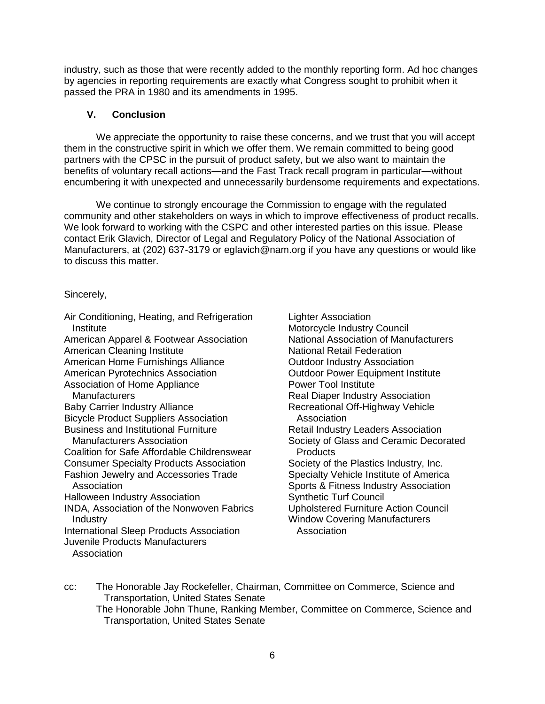industry, such as those that were recently added to the monthly reporting form. Ad hoc changes by agencies in reporting requirements are exactly what Congress sought to prohibit when it passed the PRA in 1980 and its amendments in 1995.

### **V. Conclusion**

We appreciate the opportunity to raise these concerns, and we trust that you will accept them in the constructive spirit in which we offer them. We remain committed to being good partners with the CPSC in the pursuit of product safety, but we also want to maintain the benefits of voluntary recall actions—and the Fast Track recall program in particular—without encumbering it with unexpected and unnecessarily burdensome requirements and expectations.

We continue to strongly encourage the Commission to engage with the regulated community and other stakeholders on ways in which to improve effectiveness of product recalls. We look forward to working with the CSPC and other interested parties on this issue. Please contact Erik Glavich, Director of Legal and Regulatory Policy of the National Association of Manufacturers, at (202) 637-3179 or eglavich@nam.org if you have any questions or would like to discuss this matter.

Sincerely,

Air Conditioning, Heating, and Refrigeration **Institute** American Apparel & Footwear Association American Cleaning Institute American Home Furnishings Alliance American Pyrotechnics Association Association of Home Appliance **Manufacturers** Baby Carrier Industry Alliance Bicycle Product Suppliers Association Business and Institutional Furniture Manufacturers Association Coalition for Safe Affordable Childrenswear Consumer Specialty Products Association Fashion Jewelry and Accessories Trade Association Halloween Industry Association INDA, Association of the Nonwoven Fabrics Industry International Sleep Products Association Juvenile Products Manufacturers Association

Lighter Association Motorcycle Industry Council National Association of Manufacturers National Retail Federation Outdoor Industry Association Outdoor Power Equipment Institute Power Tool Institute Real Diaper Industry Association Recreational Off-Highway Vehicle Association Retail Industry Leaders Association Society of Glass and Ceramic Decorated **Products** Society of the Plastics Industry, Inc. Specialty Vehicle Institute of America Sports & Fitness Industry Association Synthetic Turf Council Upholstered Furniture Action Council Window Covering Manufacturers Association

cc: The Honorable Jay Rockefeller, Chairman, Committee on Commerce, Science and Transportation, United States Senate The Honorable John Thune, Ranking Member, Committee on Commerce, Science and Transportation, United States Senate